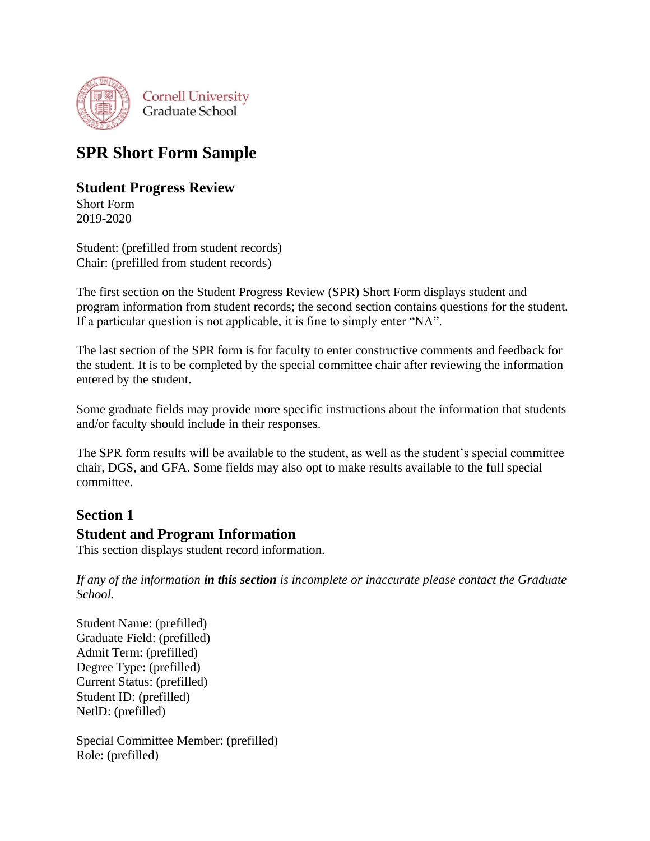

# **SPR Short Form Sample**

# **Student Progress Review**

Short Form 2019-2020

Student: (prefilled from student records) Chair: (prefilled from student records)

The first section on the Student Progress Review (SPR) Short Form displays student and program information from student records; the second section contains questions for the student. If a particular question is not applicable, it is fine to simply enter "NA".

The last section of the SPR form is for faculty to enter constructive comments and feedback for the student. It is to be completed by the special committee chair after reviewing the information entered by the student.

Some graduate fields may provide more specific instructions about the information that students and/or faculty should include in their responses.

The SPR form results will be available to the student, as well as the student's special committee chair, DGS, and GFA. Some fields may also opt to make results available to the full special committee.

# **Section 1**

# **Student and Program Information**

This section displays student record information.

*If any of the information in this section is incomplete or inaccurate please contact the Graduate School.*

Student Name: (prefilled) Graduate Field: (prefilled) Admit Term: (prefilled) Degree Type: (prefilled) Current Status: (prefilled) Student ID: (prefilled) NetlD: (prefilled)

Special Committee Member: (prefilled) Role: (prefilled)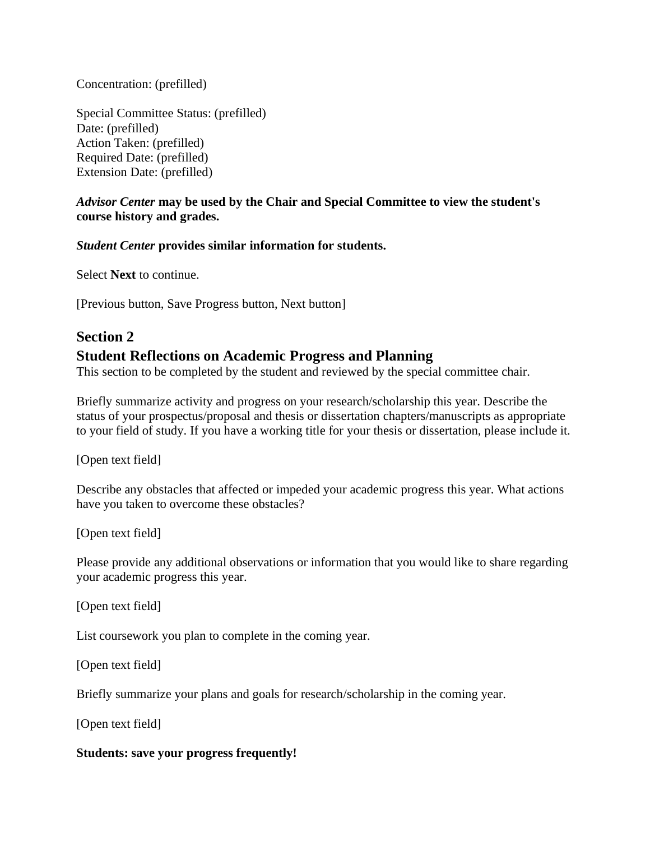Concentration: (prefilled)

Special Committee Status: (prefilled) Date: (prefilled) Action Taken: (prefilled) Required Date: (prefilled) Extension Date: (prefilled)

#### *Advisor Center* **may be used by the Chair and Special Committee to view the student's course history and grades.**

#### *Student Center* **provides similar information for students.**

Select **Next** to continue.

[Previous button, Save Progress button, Next button]

#### **Section 2**

#### **Student Reflections on Academic Progress and Planning**

This section to be completed by the student and reviewed by the special committee chair.

Briefly summarize activity and progress on your research/scholarship this year. Describe the status of your prospectus/proposal and thesis or dissertation chapters/manuscripts as appropriate to your field of study. If you have a working title for your thesis or dissertation, please include it.

[Open text field]

Describe any obstacles that affected or impeded your academic progress this year. What actions have you taken to overcome these obstacles?

[Open text field]

Please provide any additional observations or information that you would like to share regarding your academic progress this year.

[Open text field]

List coursework you plan to complete in the coming year.

[Open text field]

Briefly summarize your plans and goals for research/scholarship in the coming year.

[Open text field]

#### **Students: save your progress frequently!**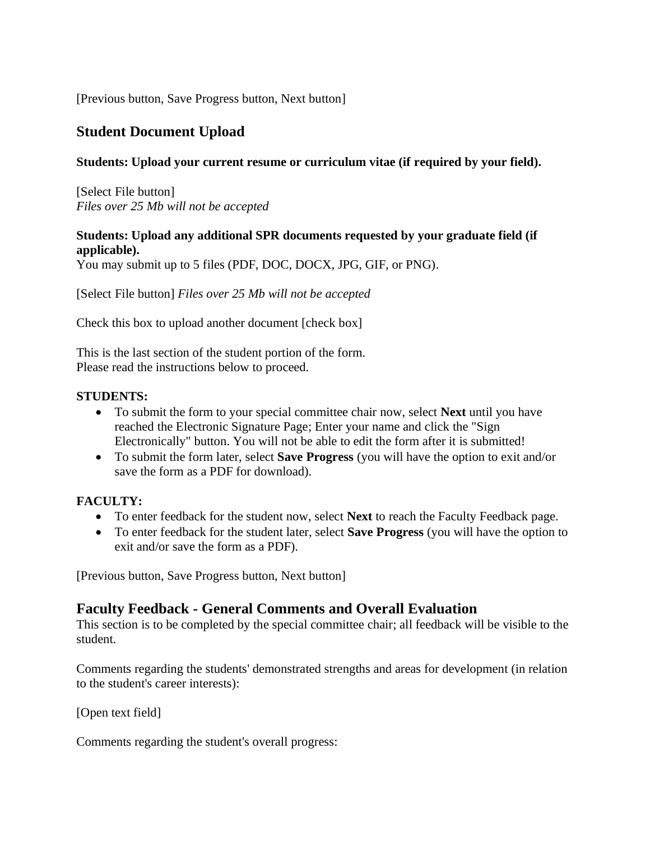[Previous button, Save Progress button, Next button]

# **Student Document Upload**

#### **Students: Upload your current resume or curriculum vitae (if required by your field).**

[Select File button] *Files over 25 Mb will not be accepted*

#### **Students: Upload any additional SPR documents requested by your graduate field (if applicable).**

You may submit up to 5 files (PDF, DOC, DOCX, JPG, GIF, or PNG).

[Select File button] *Files over 25 Mb will not be accepted*

Check this box to upload another document [check box]

This is the last section of the student portion of the form. Please read the instructions below to proceed.

#### **STUDENTS:**

- To submit the form to your special committee chair now, select **Next** until you have reached the Electronic Signature Page; Enter your name and click the "Sign Electronically" button. You will not be able to edit the form after it is submitted!
- To submit the form later, select **Save Progress** (you will have the option to exit and/or save the form as a PDF for download).

#### **FACULTY:**

- To enter feedback for the student now, select **Next** to reach the Faculty Feedback page.
- To enter feedback for the student later, select **Save Progress** (you will have the option to exit and/or save the form as a PDF).

[Previous button, Save Progress button, Next button]

## **Faculty Feedback - General Comments and Overall Evaluation**

This section is to be completed by the special committee chair; all feedback will be visible to the student.

Comments regarding the students' demonstrated strengths and areas for development (in relation to the student's career interests):

[Open text field]

Comments regarding the student's overall progress: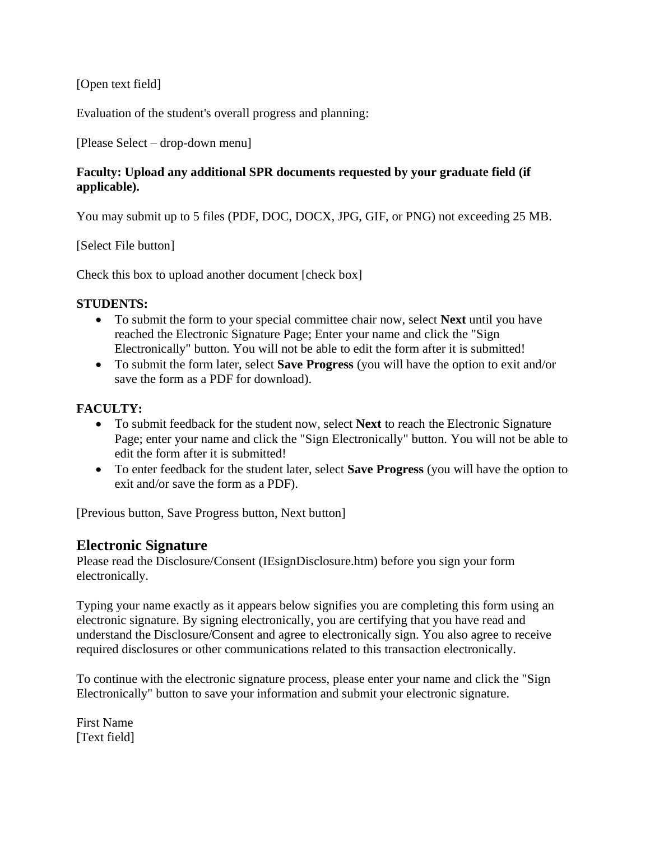[Open text field]

Evaluation of the student's overall progress and planning:

[Please Select – drop-down menu]

## **Faculty: Upload any additional SPR documents requested by your graduate field (if applicable).**

You may submit up to 5 files (PDF, DOC, DOCX, JPG, GIF, or PNG) not exceeding 25 MB.

[Select File button]

Check this box to upload another document [check box]

#### **STUDENTS:**

- To submit the form to your special committee chair now, select **Next** until you have reached the Electronic Signature Page; Enter your name and click the "Sign Electronically" button. You will not be able to edit the form after it is submitted!
- To submit the form later, select **Save Progress** (you will have the option to exit and/or save the form as a PDF for download).

# **FACULTY:**

- To submit feedback for the student now, select **Next** to reach the Electronic Signature Page; enter your name and click the "Sign Electronically" button. You will not be able to edit the form after it is submitted!
- To enter feedback for the student later, select **Save Progress** (you will have the option to exit and/or save the form as a PDF).

[Previous button, Save Progress button, Next button]

# **Electronic Signature**

Please read the Disclosure/Consent (IEsignDisclosure.htm) before you sign your form electronically.

Typing your name exactly as it appears below signifies you are completing this form using an electronic signature. By signing electronically, you are certifying that you have read and understand the Disclosure/Consent and agree to electronically sign. You also agree to receive required disclosures or other communications related to this transaction electronically.

To continue with the electronic signature process, please enter your name and click the "Sign Electronically" button to save your information and submit your electronic signature.

First Name [Text field]